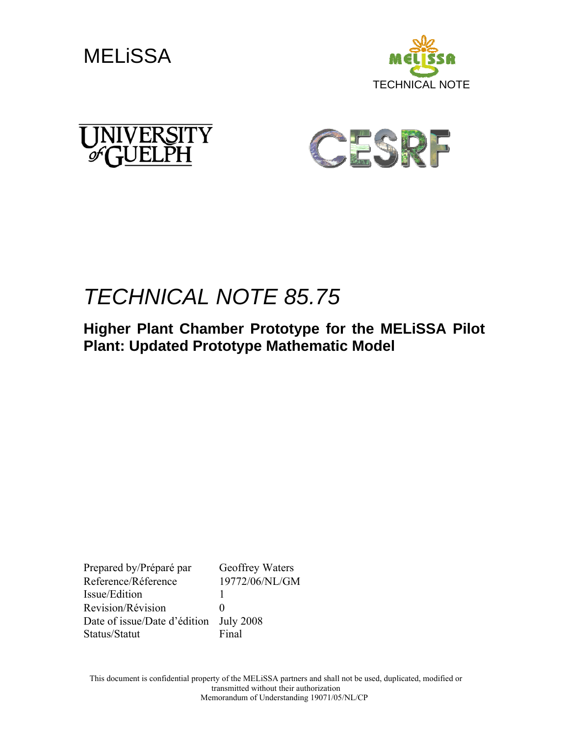







# *TECHNICAL NOTE 85.75*

**Higher Plant Chamber Prototype for the MELiSSA Pilot Plant: Updated Prototype Mathematic Model** 

Prepared by/Préparé par Geoffrey Waters Reference/Réference 19772/06/NL/GM Issue/Edition 1 Revision/Révision 0 Date of issue/Date d'édition July 2008 Status/Statut Final

This document is confidential property of the MELiSSA partners and shall not be used, duplicated, modified or transmitted without their authorization Memorandum of Understanding 19071/05/NL/CP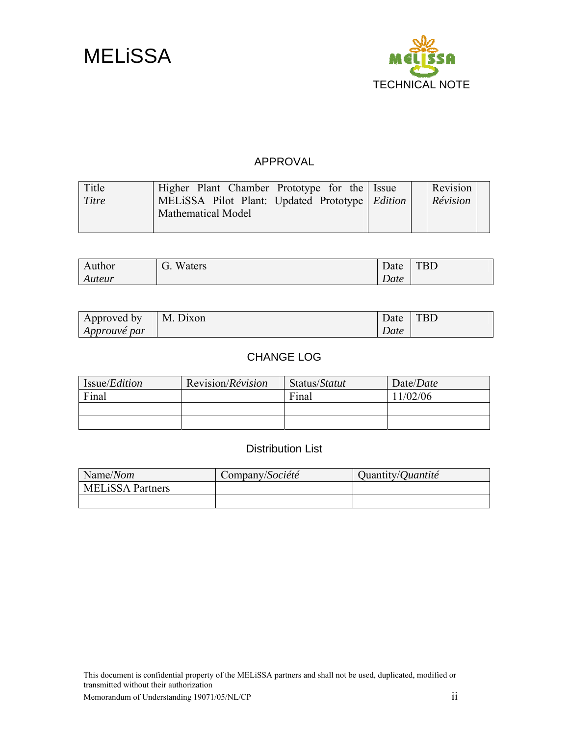



### APPROVAL

| Title | Higher Plant Chamber Prototype for the Issue     | Revision |
|-------|--------------------------------------------------|----------|
| Titre | MELISSA Pilot Plant: Updated Prototype   Edition | Révision |
|       | Mathematical Model                               |          |
|       |                                                  |          |

| vuthor | Waters<br>$\overline{\phantom{0}}$<br>U. | $\sqrt{ }$<br>Date | <b>TBD</b> |
|--------|------------------------------------------|--------------------|------------|
| Auteur |                                          | n.<br>Date         |            |

| Approved by         | M.<br>. Dixon | Date | <b>TBD</b> |
|---------------------|---------------|------|------------|
| <i>Approuve par</i> |               | Date |            |

### CHANGE LOG

| Issue/ <i>Edition</i> | Revision/ <i>Révision</i> | Status/Statut | Date/ <i>Date</i> |
|-----------------------|---------------------------|---------------|-------------------|
| Final                 |                           | Final         | 1/02/06           |
|                       |                           |               |                   |
|                       |                           |               |                   |

### Distribution List

| Name/Nom                | Company/Société | Quantity/ <i>Quantité</i> |
|-------------------------|-----------------|---------------------------|
| <b>MELISSA Partners</b> |                 |                           |
|                         |                 |                           |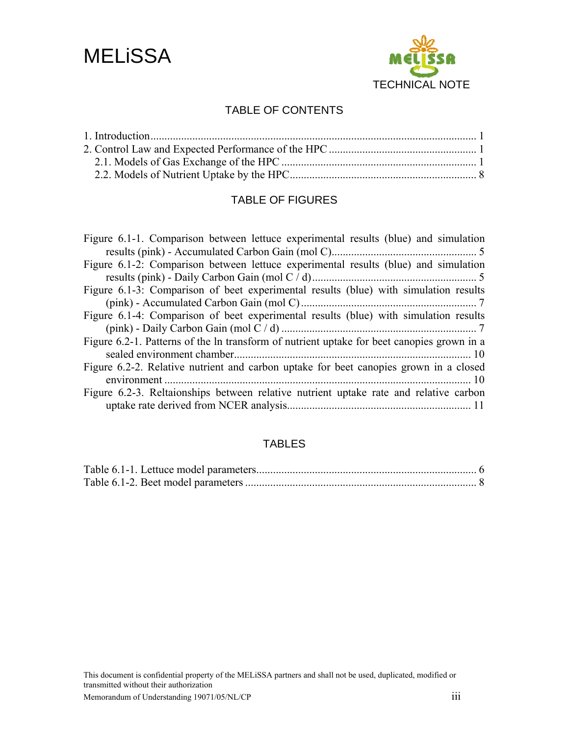



### TABLE OF CONTENTS

### TABLE OF FIGURES

| Figure 6.1-1. Comparison between lettuce experimental results (blue) and simulation        |
|--------------------------------------------------------------------------------------------|
|                                                                                            |
| Figure 6.1-2: Comparison between lettuce experimental results (blue) and simulation        |
|                                                                                            |
| Figure 6.1-3: Comparison of beet experimental results (blue) with simulation results       |
|                                                                                            |
| Figure 6.1-4: Comparison of beet experimental results (blue) with simulation results       |
|                                                                                            |
| Figure 6.2-1. Patterns of the ln transform of nutrient uptake for beet canopies grown in a |
|                                                                                            |
| Figure 6.2-2. Relative nutrient and carbon uptake for beet canopies grown in a closed      |
|                                                                                            |
| Figure 6.2-3. Reltaionships between relative nutrient uptake rate and relative carbon      |
|                                                                                            |
|                                                                                            |

### TABLES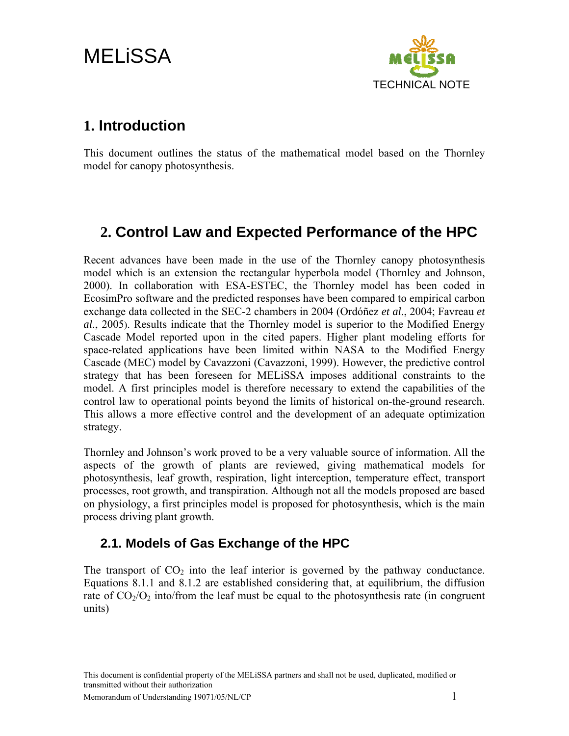# <span id="page-3-0"></span>MELiSSA



## **1. Introduction**

This document outlines the status of the mathematical model based on the Thornley model for canopy photosynthesis.

## **2. Control Law and Expected Performance of the HPC**

Recent advances have been made in the use of the Thornley canopy photosynthesis model which is an extension the rectangular hyperbola model (Thornley and Johnson, 2000). In collaboration with ESA-ESTEC, the Thornley model has been coded in EcosimPro software and the predicted responses have been compared to empirical carbon exchange data collected in the SEC-2 chambers in 2004 (Ordóñez *et al*., 2004; Favreau *et al*., 2005). Results indicate that the Thornley model is superior to the Modified Energy Cascade Model reported upon in the cited papers. Higher plant modeling efforts for space-related applications have been limited within NASA to the Modified Energy Cascade (MEC) model by Cavazzoni (Cavazzoni, 1999). However, the predictive control strategy that has been foreseen for MELiSSA imposes additional constraints to the model. A first principles model is therefore necessary to extend the capabilities of the control law to operational points beyond the limits of historical on-the-ground research. This allows a more effective control and the development of an adequate optimization strategy.

Thornley and Johnson's work proved to be a very valuable source of information. All the aspects of the growth of plants are reviewed, giving mathematical models for photosynthesis, leaf growth, respiration, light interception, temperature effect, transport processes, root growth, and transpiration. Although not all the models proposed are based on physiology, a first principles model is proposed for photosynthesis, which is the main process driving plant growth.

## **2.1. Models of Gas Exchange of the HPC**

The transport of  $CO<sub>2</sub>$  into the leaf interior is governed by the pathway conductance. Equations 8.1.1 and 8.1.2 are established considering that, at equilibrium, the diffusion rate of  $CO<sub>2</sub>/O<sub>2</sub>$  into/from the leaf must be equal to the photosynthesis rate (in congruent units)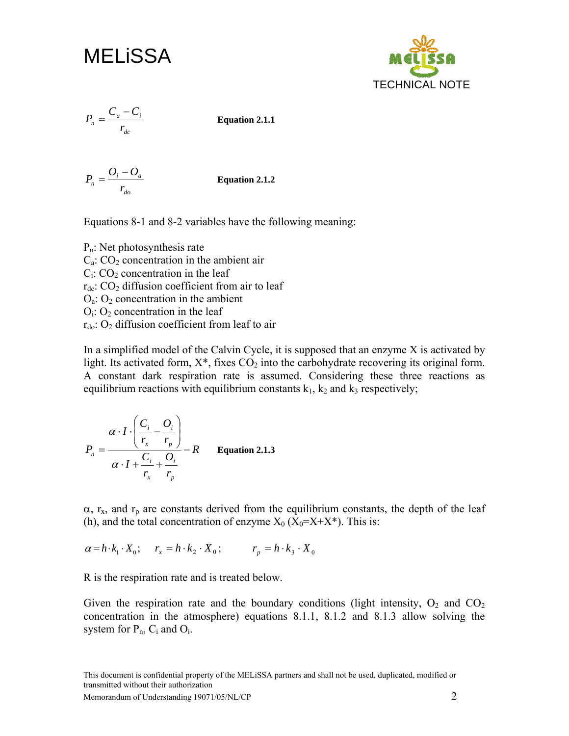MELiSSA

TECHNICAL NOTE

$$
P_n = \frac{C_a - C_i}{r_{dc}}
$$

*CC <sup>P</sup>* <sup>−</sup> <sup>=</sup> **Equation 2.1.1** 

*do*  $\frac{\rho}{r_n} = \frac{U_i - U_a}{r_{do}}$  $P_n = \frac{O_i - O_a}{P}$  **Equation 2.1.2** 

Equations 8-1 and 8-2 variables have the following meaning:

Pn: Net photosynthesis rate  $C_a$ :  $CO_2$  concentration in the ambient air  $C_i$ :  $CO_2$  concentration in the leaf  $r_{dc}$ :  $CO<sub>2</sub>$  diffusion coefficient from air to leaf  $O<sub>a</sub>: O<sub>2</sub> concentration in the ambient$  $O<sub>i</sub>: O<sub>2</sub> concentration in the leaf$  $r_{\text{do}}$ : O<sub>2</sub> diffusion coefficient from leaf to air

In a simplified model of the Calvin Cycle, it is supposed that an enzyme X is activated by light. Its activated form,  $X^*$ , fixes  $CO_2$  into the carbohydrate recovering its original form. A constant dark respiration rate is assumed. Considering these three reactions as equilibrium reactions with equilibrium constants  $k_1$ ,  $k_2$  and  $k_3$  respectively;

$$
P_n = \frac{\alpha \cdot I \cdot \left(\frac{C_i}{r_x} - \frac{O_i}{r_p}\right)}{\alpha \cdot I + \frac{C_i}{r_x} + \frac{O_i}{r_p}} - R
$$
 Equation 2.1.3

 $\alpha$ ,  $r_x$ , and  $r_p$  are constants derived from the equilibrium constants, the depth of the leaf (h), and the total concentration of enzyme  $X_0$  ( $X_0 = X + X^*$ ). This is:

 $\alpha = h \cdot k_1 \cdot X_0;$   $r_x = h \cdot k_2 \cdot X_0;$   $r_y = h \cdot k_3 \cdot X_0$ 

R is the respiration rate and is treated below.

Given the respiration rate and the boundary conditions (light intensity,  $O_2$  and  $CO_2$ ) concentration in the atmosphere) equations 8.1.1, 8.1.2 and 8.1.3 allow solving the system for  $P_n$ ,  $C_i$  and  $O_i$ .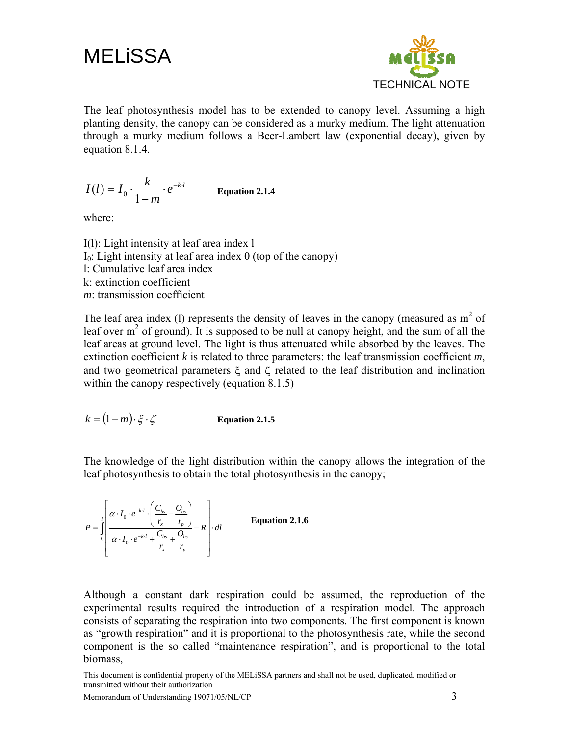MELiSSA



The leaf photosynthesis model has to be extended to canopy level. Assuming a high planting density, the canopy can be considered as a murky medium. The light attenuation through a murky medium follows a Beer-Lambert law (exponential decay), given by equation 8.1.4.

$$
I(l) = I_0 \cdot \frac{k}{1-m} \cdot e^{-k \cdot l}
$$
 Equation 2.1.4

where:

I(l): Light intensity at leaf area index l  $I<sub>0</sub>$ : Light intensity at leaf area index 0 (top of the canopy) l: Cumulative leaf area index k: extinction coefficient *m*: transmission coefficient

The leaf area index (1) represents the density of leaves in the canopy (measured as  $m<sup>2</sup>$  of leaf over  $m<sup>2</sup>$  of ground). It is supposed to be null at canopy height, and the sum of all the leaf areas at ground level. The light is thus attenuated while absorbed by the leaves. The extinction coefficient *k* is related to three parameters: the leaf transmission coefficient *m*, and two geometrical parameters  $\xi$  and  $\zeta$  related to the leaf distribution and inclination within the canopy respectively (equation 8.1.5)

$$
k = (1 - m) \cdot \xi \cdot \zeta
$$
 Equation 2.1.5

The knowledge of the light distribution within the canopy allows the integration of the leaf photosynthesis to obtain the total photosynthesis in the canopy;

$$
P = \int_{0}^{l} \left[ \frac{\alpha \cdot I_0 \cdot e^{-k \cdot l} \cdot \left( \frac{C_{bs}}{r_x} - \frac{O_{bs}}{r_p} \right)}{\alpha \cdot I_0 \cdot e^{-k \cdot l} + \frac{C_{bs}}{r_x} + \frac{O_{bs}}{r_p}} - R \right] \cdot dl
$$
 Equation 2.1.6

Although a constant dark respiration could be assumed, the reproduction of the experimental results required the introduction of a respiration model. The approach consists of separating the respiration into two components. The first component is known as "growth respiration" and it is proportional to the photosynthesis rate, while the second component is the so called "maintenance respiration", and is proportional to the total biomass,

This document is confidential property of the MELiSSA partners and shall not be used, duplicated, modified or transmitted without their authorization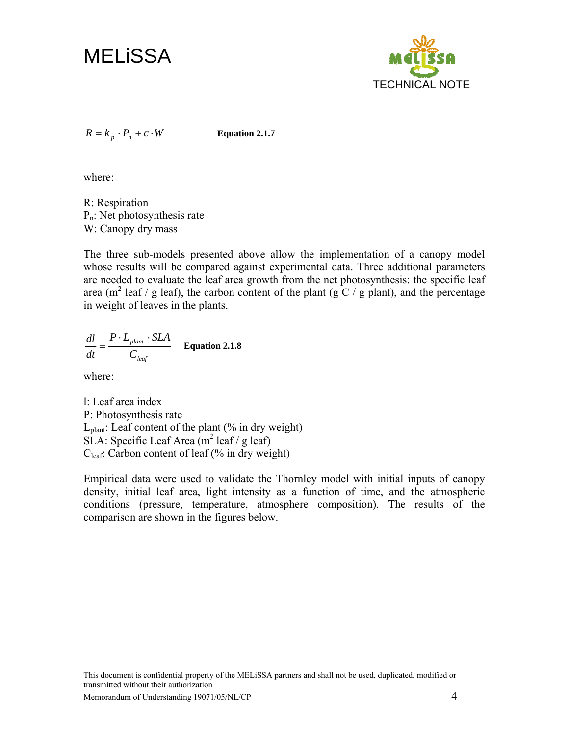



 $R = k_n \cdot P_n + c \cdot W$  **Equation 2.1.7** 

where:

R: Respiration  $P_n$ : Net photosynthesis rate W: Canopy dry mass

The three sub-models presented above allow the implementation of a canopy model whose results will be compared against experimental data. Three additional parameters are needed to evaluate the leaf area growth from the net photosynthesis: the specific leaf area (m<sup>2</sup> leaf / g leaf), the carbon content of the plant (g C / g plant), and the percentage in weight of leaves in the plants.

*leaf plant C*  $P \cdot L$ <sub>plant</sub>  $\cdot$  *SLA dt*  $\frac{dl}{dt} = \frac{P \cdot L_{\text{plant}} \cdot SLA}{T}$  Equation 2.1.8

where:

l: Leaf area index P: Photosynthesis rate  $L<sub>plant</sub>:$  Leaf content of the plant (% in dry weight)  $SLA$ : Specific Leaf Area (m<sup>2</sup> leaf / g leaf) C<sub>leaf</sub>: Carbon content of leaf (% in dry weight)

Empirical data were used to validate the Thornley model with initial inputs of canopy density, initial leaf area, light intensity as a function of time, and the atmospheric conditions (pressure, temperature, atmosphere composition). The results of the comparison are shown in the figures below.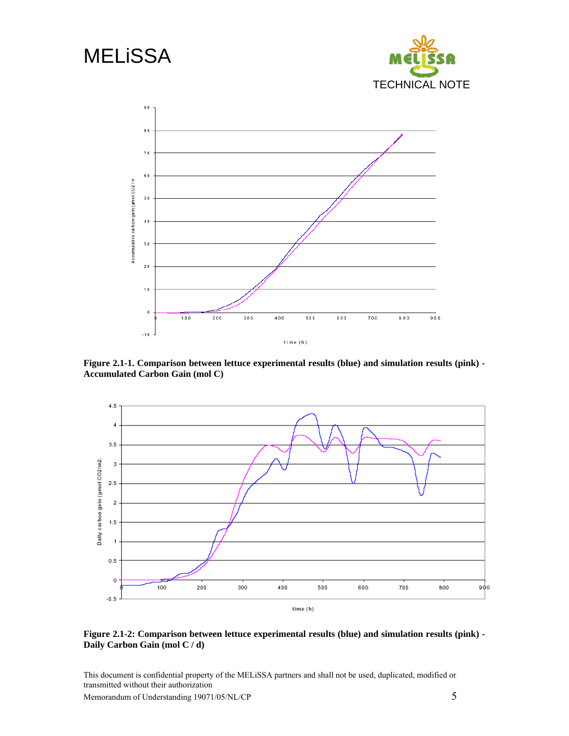<span id="page-7-0"></span>

**Figure 2.1-1. Comparison between lettuce experimental results (blue) and simulation results (pink) - Accumulated Carbon Gain (mol C)** 



### **Figure 2.1-2: Comparison between lettuce experimental results (blue) and simulation results (pink) - Daily Carbon Gain (mol C / d)**

This document is confidential property of the MELiSSA partners and shall not be used, duplicated, modified or transmitted without their authorization

Memorandum of Understanding 19071/05/NL/CP 5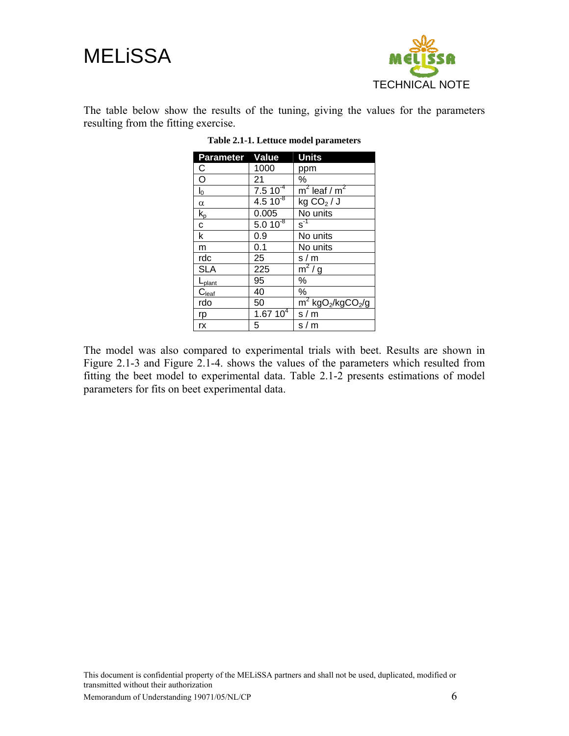<span id="page-8-0"></span>



The table below show the results of the tuning, giving the values for the parameters resulting from the fitting exercise.

| <b>Parameter Value</b>        |               | <b>Units</b>                                            |
|-------------------------------|---------------|---------------------------------------------------------|
| С                             | 1000          | ppm                                                     |
| $\overline{\circ}$            | 21            | ℅                                                       |
| $I_0$                         | $7.510^{-4}$  | $m^2$ leaf / $m^2$                                      |
| $\alpha$                      | $4.510^{8}$   | kg CO <sub>2</sub> /J                                   |
| $k_{p}$                       | 0.005         | No units                                                |
| $\mathbf c$                   | $5.010^{8}$   | $\overline{s}^{\text{-1}}$                              |
| k                             | 0.9           | No units                                                |
| m                             | 0.1           | No units                                                |
| rdc                           | 25            | s/m                                                     |
| <b>SLA</b>                    | 225           | $m^2/g$                                                 |
| L <sub>plant</sub>            | 95            | %                                                       |
| $C_{\underline{\text{leaf}}}$ | 40            | ℅                                                       |
| rdo                           | 50            | $\overline{m}^2$ kgO <sub>2</sub> /kgCO <sub>2</sub> /g |
| rp                            | $1.67 10^{4}$ | s/m                                                     |
| rx                            | 5             | s/m                                                     |

**Table 2.1-1. Lettuce model parameters** 

The model was also compared to experimental trials with beet. Results are shown in [Figure 2.1-3](#page-9-1) and [Figure 2.1-4](#page-9-2). shows the values of the parameters which resulted from fitting the beet model to experimental data. [Table 2.1-2](#page-10-1) presents estimations of model parameters for fits on beet experimental data.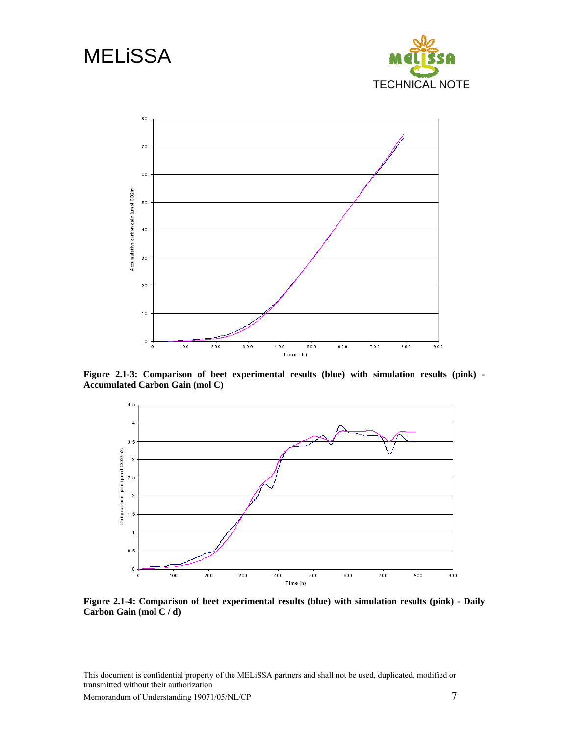<span id="page-9-0"></span>

<span id="page-9-1"></span>**Figure 2.1-3: Comparison of beet experimental results (blue) with simulation results (pink) - Accumulated Carbon Gain (mol C)** 



<span id="page-9-2"></span>**Figure 2.1-4: Comparison of beet experimental results (blue) with simulation results (pink) - Daily Carbon Gain (mol C / d)** 

This document is confidential property of the MELiSSA partners and shall not be used, duplicated, modified or transmitted without their authorization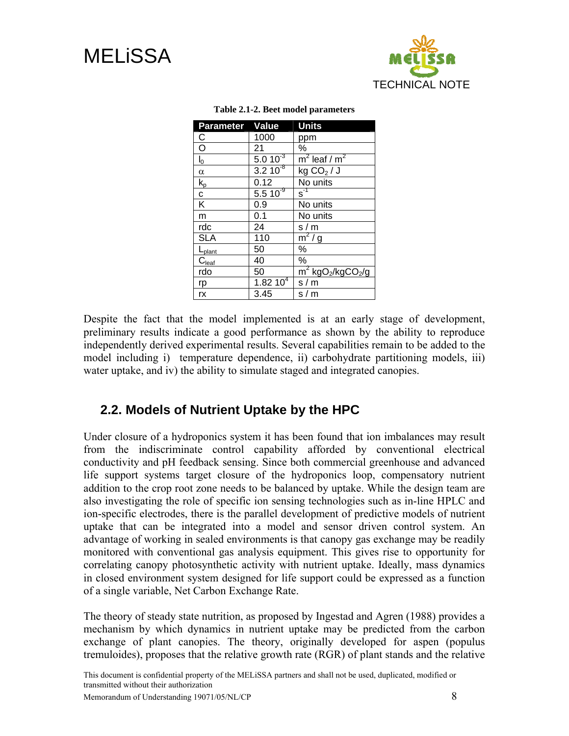<span id="page-10-1"></span><span id="page-10-0"></span>



| Parameter Value         |                  | <b>Units</b>                                 |
|-------------------------|------------------|----------------------------------------------|
| C                       | 1000             | ppm                                          |
| $\overline{O}$          | 21               | %                                            |
| $I_0$                   | $5.010^{-3}$     | $m^2$ leaf / $m^2$                           |
| $\alpha$                | $3.2 \, 10^{-8}$ | kg CO <sub>2</sub> /J                        |
| $k_{p}$                 | 0.12             | No units                                     |
| $\mathbf{C}$            | $5.510^{9}$      | $\overline{s}^{\text{-1}}$                   |
| $\overline{\mathsf{K}}$ | 0.9              | No units                                     |
| m                       | 0.1              | No units                                     |
| rdc                     | 24               | s/m                                          |
| <b>SLA</b>              | 110              | $m^2/g$                                      |
| L <sub>plant</sub>      | 50               | $\%$                                         |
| $C_{\text{leaf}}$       | 40               | $\%$                                         |
| rdo                     | 50               | $m^2$ kgO <sub>2</sub> /kgCO <sub>2</sub> /g |
| rp                      | 1.82 $10^{4}$    | s/m                                          |
| rx                      | 3.45             | s/m                                          |

#### **Table 2.1-2. Beet model parameters**

Despite the fact that the model implemented is at an early stage of development, preliminary results indicate a good performance as shown by the ability to reproduce independently derived experimental results. Several capabilities remain to be added to the model including i) temperature dependence, ii) carbohydrate partitioning models, iii) water uptake, and iv) the ability to simulate staged and integrated canopies.

### **2.2. Models of Nutrient Uptake by the HPC**

Under closure of a hydroponics system it has been found that ion imbalances may result from the indiscriminate control capability afforded by conventional electrical conductivity and pH feedback sensing. Since both commercial greenhouse and advanced life support systems target closure of the hydroponics loop, compensatory nutrient addition to the crop root zone needs to be balanced by uptake. While the design team are also investigating the role of specific ion sensing technologies such as in-line HPLC and ion-specific electrodes, there is the parallel development of predictive models of nutrient uptake that can be integrated into a model and sensor driven control system. An advantage of working in sealed environments is that canopy gas exchange may be readily monitored with conventional gas analysis equipment. This gives rise to opportunity for correlating canopy photosynthetic activity with nutrient uptake. Ideally, mass dynamics in closed environment system designed for life support could be expressed as a function of a single variable, Net Carbon Exchange Rate.

The theory of steady state nutrition, as proposed by Ingestad and Agren (1988) provides a mechanism by which dynamics in nutrient uptake may be predicted from the carbon exchange of plant canopies. The theory, originally developed for aspen (populus tremuloides), proposes that the relative growth rate (RGR) of plant stands and the relative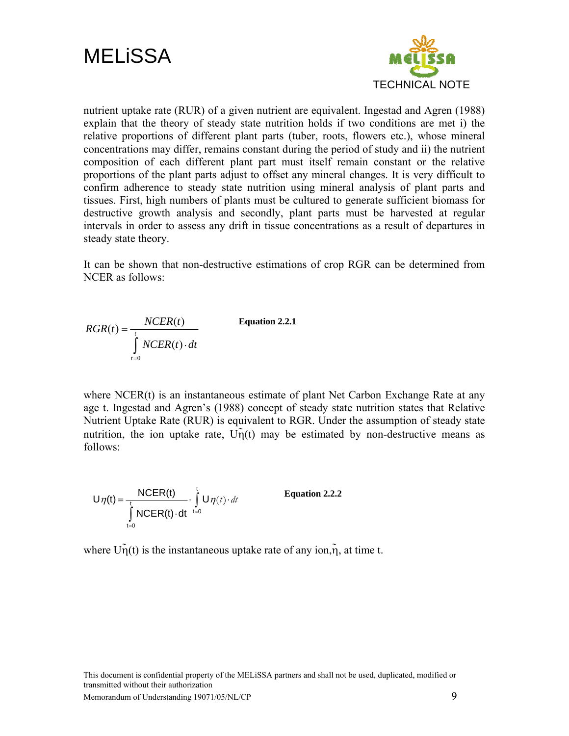



nutrient uptake rate (RUR) of a given nutrient are equivalent. Ingestad and Agren (1988) explain that the theory of steady state nutrition holds if two conditions are met i) the relative proportions of different plant parts (tuber, roots, flowers etc.), whose mineral concentrations may differ, remains constant during the period of study and ii) the nutrient composition of each different plant part must itself remain constant or the relative proportions of the plant parts adjust to offset any mineral changes. It is very difficult to confirm adherence to steady state nutrition using mineral analysis of plant parts and tissues. First, high numbers of plants must be cultured to generate sufficient biomass for destructive growth analysis and secondly, plant parts must be harvested at regular intervals in order to assess any drift in tissue concentrations as a result of departures in steady state theory.

It can be shown that non-destructive estimations of crop RGR can be determined from NCER as follows:

$$
RGR(t) = \frac{NCER(t)}{\int_{t=0}^{t} NCER(t) \cdot dt}
$$
 Equation 2.2.1

where NCER(t) is an instantaneous estimate of plant Net Carbon Exchange Rate at any age t. Ingestad and Agren's (1988) concept of steady state nutrition states that Relative Nutrient Uptake Rate (RUR) is equivalent to RGR. Under the assumption of steady state nutrition, the ion uptake rate,  $U_{\eta}(t)$  may be estimated by non-destructive means as follows:

$$
U\eta(t) = \frac{NCER(t)}{\int_{t=0}^{t} NCER(t) \cdot dt} \cdot \int_{t=0}^{t} U\eta(t) \cdot dt
$$
 Equation 2.2.2

where  $U_{\eta}(t)$  is the instantaneous uptake rate of any ion, $\tilde{\eta}$ , at time t.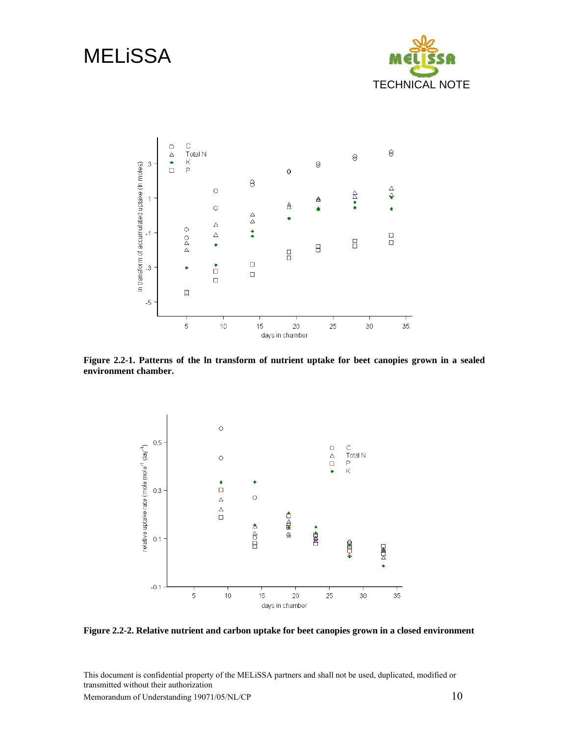# <span id="page-12-0"></span>**MELISSA**





**Figure 2.2-1. Patterns of the ln transform of nutrient uptake for beet canopies grown in a sealed environment chamber.** 



**Figure 2.2-2. Relative nutrient and carbon uptake for beet canopies grown in a closed environment** 

This document is confidential property of the MELiSSA partners and shall not be used, duplicated, modified or transmitted without their authorization